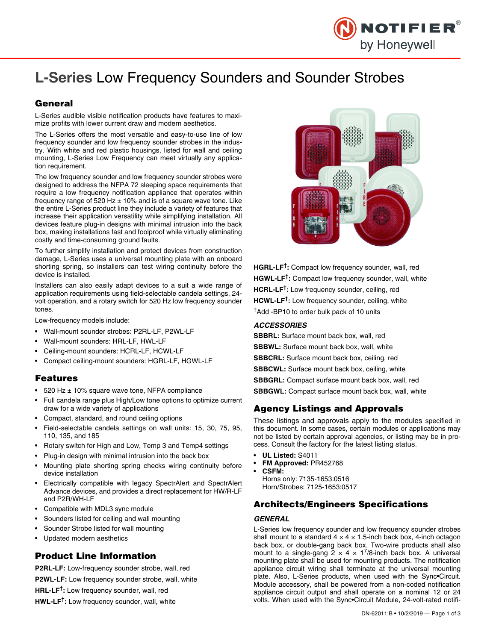

# **L-Series** Low Frequency Sounders and Sounder Strobes

# **General**

L-Series audible visible notification products have features to maximize profits with lower current draw and modern aesthetics.

The L-Series offers the most versatile and easy-to-use line of low frequency sounder and low frequency sounder strobes in the industry. With white and red plastic housings, listed for wall and ceiling mounting, L-Series Low Frequency can meet virtually any application requirement.

The low frequency sounder and low frequency sounder strobes were designed to address the NFPA 72 sleeping space requirements that require a low frequency notification appliance that operates within frequency range of 520 Hz  $\pm$  10% and is of a square wave tone. Like the entire L-Series product line they include a variety of features that increase their application versatility while simplifying installation. All devices feature plug-in designs with minimal intrusion into the back box, making installations fast and foolproof while virtually eliminating costly and time-consuming ground faults.

To further simplify installation and protect devices from construction damage, L-Series uses a universal mounting plate with an onboard shorting spring, so installers can test wiring continuity before the device is installed.

Installers can also easily adapt devices to a suit a wide range of application requirements using field-selectable candela settings, 24 volt operation, and a rotary switch for 520 Hz low frequency sounder tones.

Low-frequency models include:

- Wall-mount sounder strobes: P2RL-LF, P2WL-LF
- Wall-mount sounders: HRL-LF, HWL-LF
- Ceiling-mount sounders: HCRL-LF, HCWL-LF
- Compact ceiling-mount sounders: HGRL-LF, HGWL-LF

### **Features**

- 520 Hz  $\pm$  10% square wave tone, NFPA compliance
- Full candela range plus High/Low tone options to optimize current draw for a wide variety of applications
- Compact, standard, and round ceiling options
- Field-selectable candela settings on wall units: 15, 30, 75, 95, 110, 135, and 185
- Rotary switch for High and Low, Temp 3 and Temp4 settings
- Plug-in design with minimal intrusion into the back box
- Mounting plate shorting spring checks wiring continuity before device installation
- Electrically compatible with legacy SpectrAlert and SpectrAlert Advance devices, and provides a direct replacement for HW/R-LF and P2R/WH-LF
- Compatible with MDL3 sync module
- Sounders listed for ceiling and wall mounting
- Sounder Strobe listed for wall mounting
- Updated modern aesthetics

# **Product Line Information**

**P2RL-LF:** Low-frequency sounder strobe, wall, red **P2WL-LF:** Low frequency sounder strobe, wall, white **HRL-LF†:** Low frequency sounder, wall, red **HWL-LF†:** Low frequency sounder, wall, white



**HGRL-LF†:** Compact low frequency sounder, wall, red **HGWL-LF†:** Compact low frequency sounder, wall, white **HCRL-LF†:** Low frequency sounder, ceiling, red **HCWL-LF†:** Low frequency sounder, ceiling, white †Add -BP10 to order bulk pack of 10 units

#### *ACCESSORIES*

**SBBRL:** Surface mount back box, wall, red

- **SBBWL:** Surface mount back box, wall, white
- **SBBCRL:** Surface mount back box, ceiling, red
- **SBBCWL:** Surface mount back box, ceiling, white
- **SBBGRL:** Compact surface mount back box, wall, red

**SBBGWL:** Compact surface mount back box, wall, white

## **Agency Listings and Approvals**

These listings and approvals apply to the modules specified in this document. In some cases, certain modules or applications may not be listed by certain approval agencies, or listing may be in process. Consult the factory for the latest listing status.

- **UL Listed:** S4011
- **FM Approved:** PR452768
- **CSFM:**

Horns only: 7135-1653:0516 Horn/Strobes: 7125-1653:0517

# **Architects/Engineers Specifications**

#### *GENERAL*

L-Series low frequency sounder and low frequency sounder strobes shall mount to a standard  $4 \times 4 \times 1.5$ -inch back box, 4-inch octagon back box, or double-gang back box. Two-wire products shall also mount to a single-gang  $2 \times 4 \times 1^7/8$ -inch back box. A universal mounting plate shall be used for mounting products. The notification appliance circuit wiring shall terminate at the universal mounting plate. Also, L-Series products, when used with the Sync•Circuit. Module accessory, shall be powered from a non-coded notification appliance circuit output and shall operate on a nominal 12 or 24 volts. When used with the Sync•Circuit Module, 24-volt-rated notifi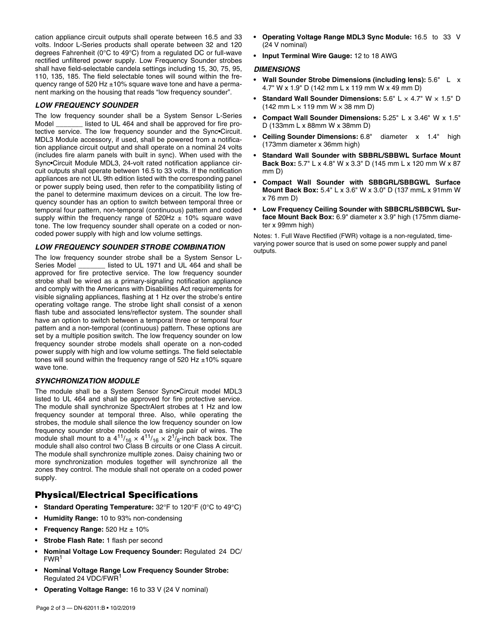cation appliance circuit outputs shall operate between 16.5 and 33 volts. Indoor L-Series products shall operate between 32 and 120 degrees Fahrenheit (0°C to 49°C) from a regulated DC or full-wave rectified unfiltered power supply. Low Frequency Sounder strobes shall have field-selectable candela settings including 15, 30, 75, 95, 110, 135, 185. The field selectable tones will sound within the frequency range of 520 Hz ±10% square wave tone and have a permanent marking on the housing that reads "low frequency sounder".

#### *LOW FREQUENCY SOUNDER*

The low frequency sounder shall be a System Sensor L-Series Model **Insted to UL 464 and shall be approved for fire pro**tective service. The low frequency sounder and the Sync•Circuit. MDL3 Module accessory, if used, shall be powered from a notification appliance circuit output and shall operate on a nominal 24 volts (includes fire alarm panels with built in sync). When used with the Sync•Circuit Module MDL3, 24-volt rated notification appliance circuit outputs shall operate between 16.5 to 33 volts. If the notification appliances are not UL 9th edition listed with the corresponding panel or power supply being used, then refer to the compatibility listing of the panel to determine maximum devices on a circuit. The low frequency sounder has an option to switch between temporal three or temporal four pattern, non-temporal (continuous) pattern and coded supply within the frequency range of  $520$ Hz  $\pm$  10% square wave tone. The low frequency sounder shall operate on a coded or noncoded power supply with high and low volume settings.

#### *LOW FREQUENCY SOUNDER STROBE COMBINATION*

The low frequency sounder strobe shall be a System Sensor L-Series Model \_\_\_\_\_\_\_ listed to UL 1971 and UL 464 and shall be approved for fire protective service. The low frequency sounder strobe shall be wired as a primary-signaling notification appliance and comply with the Americans with Disabilities Act requirements for visible signaling appliances, flashing at 1 Hz over the strobe's entire operating voltage range. The strobe light shall consist of a xenon flash tube and associated lens/reflector system. The sounder shall have an option to switch between a temporal three or temporal four pattern and a non-temporal (continuous) pattern. These options are set by a multiple position switch. The low frequency sounder on low frequency sounder strobe models shall operate on a non-coded power supply with high and low volume settings. The field selectable tones will sound within the frequency range of 520 Hz  $\pm$ 10% square wave tone.

#### *SYNCHRONIZATION MODULE*

The module shall be a System Sensor Sync•Circuit model MDL3 listed to UL 464 and shall be approved for fire protective service. The module shall synchronize SpectrAlert strobes at 1 Hz and low frequency sounder at temporal three. Also, while operating the strobes, the module shall silence the low frequency sounder on low frequency sounder strobe models over a single pair of wires. The module shall mount to a  $4^{11}/_{16} \times 4^{11}/_{16} \times 2^{1}/_8$ -inch back box. The module shall also control two Class B circuits or one Class A circuit. The module shall synchronize multiple zones. Daisy chaining two or more synchronization modules together will synchronize all the zones they control. The module shall not operate on a coded power supply.

## **Physical/Electrical Specifications**

- **Standard Operating Temperature:** 32°F to 120°F (0°C to 49°C)
- **Humidity Range:** 10 to 93% non-condensing
- **Frequency Range:** 520 Hz ± 10%
- **Strobe Flash Rate:** 1 flash per second
- **Nominal Voltage Low Frequency Sounder:** Regulated 24 DC/  $FWR<sup>1</sup>$
- **Nominal Voltage Range Low Frequency Sounder Strobe:**  Regulated 24 VDC/FWR<sup>1</sup>
- **Operating Voltage Range:** 16 to 33 V (24 V nominal)
- **Operating Voltage Range MDL3 Sync Module:** 16.5 to 33 V (24 V nominal)
- **Input Terminal Wire Gauge:** 12 to 18 AWG

#### *DIMENSIONS*

- **Wall Sounder Strobe Dimensions (including lens):** 5.6" L x 4.7" W x 1.9" D (142 mm L x 119 mm W x 49 mm D)
- Standard Wall Sounder Dimensions: 5.6" L × 4.7" W × 1.5" D  $(142 \text{ mm L} \times 119 \text{ mm W} \times 38 \text{ mm D})$
- **Compact Wall Sounder Dimensions:** 5.25" L x 3.46" W x 1.5" D (133mm L x 88mm W x 38mm D)
- **Ceiling Sounder Dimensions:** 6.8" diameter x 1.4" high (173mm diameter x 36mm high)
- **Standard Wall Sounder with SBBRL/SBBWL Surface Mount Back Box:** 5.7" L x 4.8" W x 3.3" D (145 mm L x 120 mm W x 87 mm D)
- **Compact Wall Sounder with SBBGRL/SBBGWL Surface Mount Back Box:** 5.4" L x 3.6" W x 3.0" D (137 mmL x 91mm W x 76 mm D)
- **Low Frequency Ceiling Sounder with SBBCRL/SBBCWL Surface Mount Back Box:** 6.9" diameter x 3.9" high (175mm diameter x 99mm high)

Notes: 1. Full Wave Rectified (FWR) voltage is a non-regulated, timevarying power source that is used on some power supply and panel outputs.